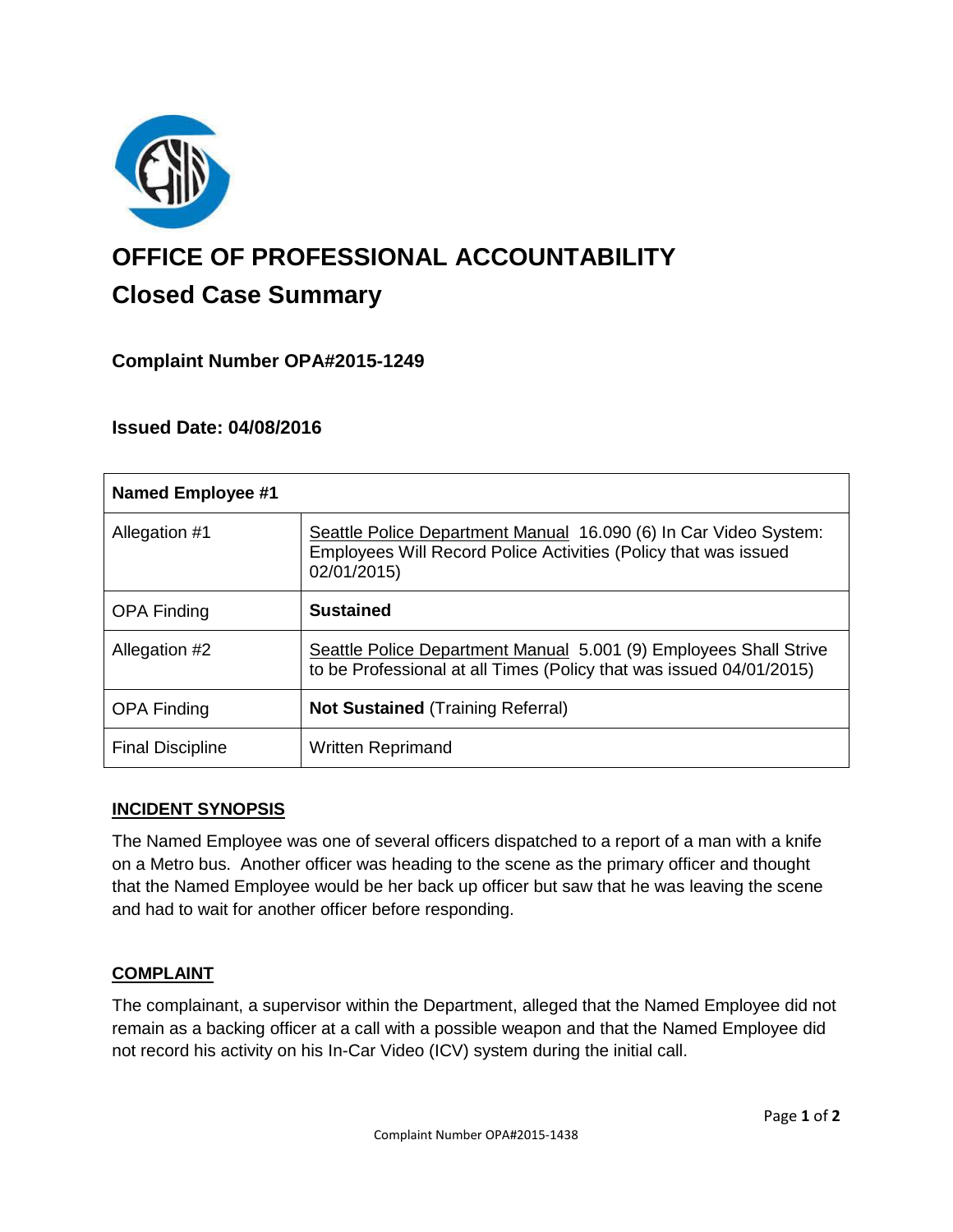

# **OFFICE OF PROFESSIONAL ACCOUNTABILITY Closed Case Summary**

## **Complaint Number OPA#2015-1249**

## **Issued Date: 04/08/2016**

| <b>Named Employee #1</b> |                                                                                                                                                    |
|--------------------------|----------------------------------------------------------------------------------------------------------------------------------------------------|
| Allegation #1            | Seattle Police Department Manual 16.090 (6) In Car Video System:<br>Employees Will Record Police Activities (Policy that was issued<br>02/01/2015) |
| <b>OPA Finding</b>       | <b>Sustained</b>                                                                                                                                   |
| Allegation #2            | Seattle Police Department Manual 5.001 (9) Employees Shall Strive<br>to be Professional at all Times (Policy that was issued 04/01/2015)           |
| <b>OPA Finding</b>       | <b>Not Sustained (Training Referral)</b>                                                                                                           |
| <b>Final Discipline</b>  | <b>Written Reprimand</b>                                                                                                                           |

#### **INCIDENT SYNOPSIS**

The Named Employee was one of several officers dispatched to a report of a man with a knife on a Metro bus. Another officer was heading to the scene as the primary officer and thought that the Named Employee would be her back up officer but saw that he was leaving the scene and had to wait for another officer before responding.

#### **COMPLAINT**

The complainant, a supervisor within the Department, alleged that the Named Employee did not remain as a backing officer at a call with a possible weapon and that the Named Employee did not record his activity on his In-Car Video (ICV) system during the initial call.